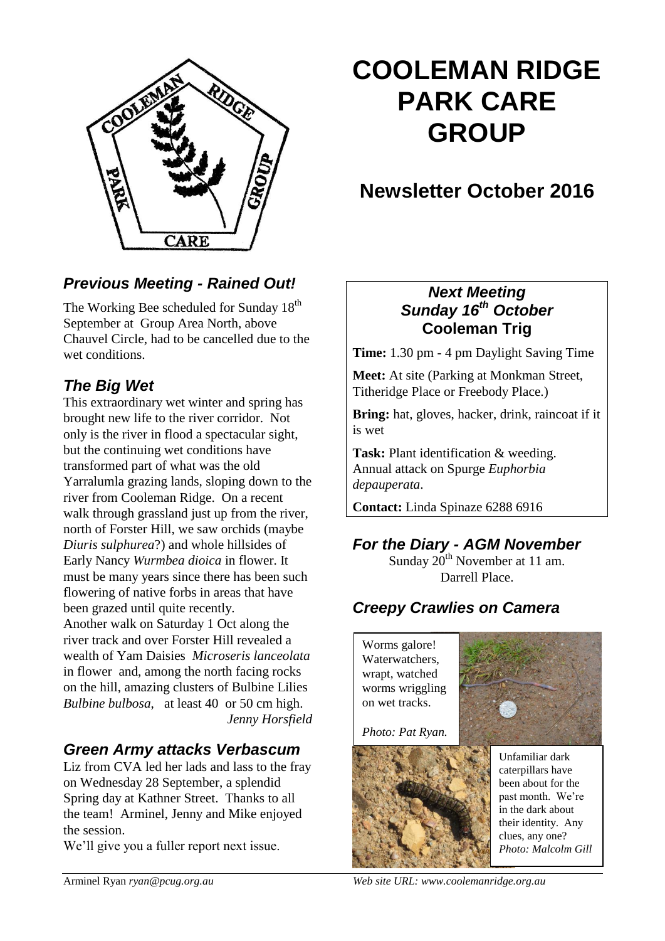

# **COOLEMAN RIDGE PARK CARE GROUP**

## **Newsletter October 2016**

## *Previous Meeting - Rained Out!*

The Working Bee scheduled for Sunday 18<sup>th</sup> September at Group Area North, above Chauvel Circle, had to be cancelled due to the wet conditions.

## *The Big Wet*

This extraordinary wet winter and spring has brought new life to the river corridor. Not only is the river in flood a spectacular sight, but the continuing wet conditions have transformed part of what was the old Yarralumla grazing lands, sloping down to the river from Cooleman Ridge. On a recent walk through grassland just up from the river, north of Forster Hill, we saw orchids (maybe *Diuris sulphurea*?) and whole hillsides of Early Nancy *Wurmbea dioica* in flower. It must be many years since there has been such flowering of native forbs in areas that have been grazed until quite recently. Another walk on Saturday 1 Oct along the river track and over Forster Hill revealed a wealth of Yam Daisies *Microseris lanceolata* in flower and, among the north facing rocks on the hill, amazing clusters of Bulbine Lilies *Bulbine bulbosa*, at least 40 or 50 cm high. *Jenny Horsfield*

#### *Green Army attacks Verbascum*

Liz from CVA led her lads and lass to the fray on Wednesday 28 September, a splendid Spring day at Kathner Street. Thanks to all the team! Arminel, Jenny and Mike enjoyed the session.

We'll give you a fuller report next issue.

### *Next Meeting Sunday 16th October* **Cooleman Trig**

**Time:** 1.30 pm - 4 pm Daylight Saving Time

**Meet:** At site (Parking at Monkman Street, Titheridge Place or Freebody Place.)

**Bring:** hat, gloves, hacker, drink, raincoat if it is wet

**Task:** Plant identification & weeding. Annual attack on Spurge *Euphorbia depauperata*.

**Contact:** Linda Spinaze 6288 6916

## *For the Diary - AGM November*

Sunday  $20^{th}$  November at 11 am. Darrell Place.

## *Creepy Crawlies on Camera*

Worms galore! Waterwatchers, wrapt, watched worms wriggling on wet tracks.

*Photo: Pat Ryan.*





Unfamiliar dark caterpillars have been about for the past month. We're in the dark about their identity. Any clues, any one? *Photo: Malcolm Gill* 

Arminel Ryan *ryan@pcug.org.au Web site URL: www.coolemanridge.org.au*